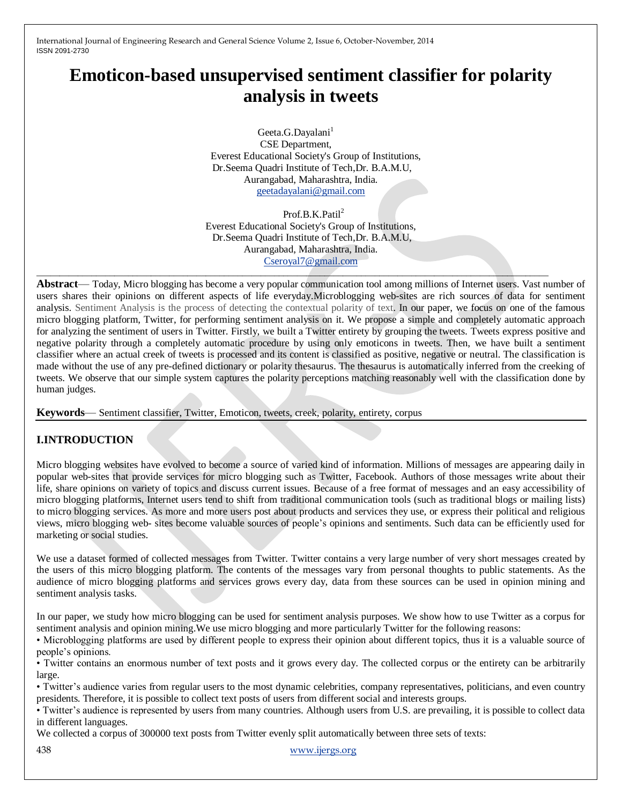# **Emoticon-based unsupervised sentiment classifier for polarity analysis in tweets**

Geeta.G.Dayalani<sup>1</sup> CSE Department, Everest Educational Society's Group of Institutions, Dr.Seema Quadri Institute of Tech,Dr. B.A.M.U, Aurangabad, Maharashtra, India. [geetadayalani@gmail.com](mailto:geetadayalani@gmail.com)

Prof.B.K.Patil<sup>2</sup> Everest Educational Society's Group of Institutions, Dr.Seema Quadri Institute of Tech,Dr. B.A.M.U, Aurangabad, Maharashtra, India. [Cseroyal7@gmail.com](mailto:Cseroyal7@gmail.com)

\_\_\_\_\_\_\_\_\_\_\_\_\_\_\_\_\_\_\_\_\_\_\_\_\_\_\_\_\_\_\_\_\_\_\_\_\_\_\_\_\_\_\_\_\_\_\_\_\_\_\_\_\_\_\_\_\_\_\_\_\_\_\_\_\_\_\_\_\_\_\_\_\_\_\_\_\_\_\_\_\_\_\_\_\_\_\_\_\_\_\_\_\_\_\_\_\_\_\_\_\_\_\_\_\_\_\_\_\_\_\_\_

**Abstract**— Today, Micro blogging has become a very popular communication tool among millions of Internet users. Vast number of users shares their opinions on different aspects of life everyday.Microblogging web-sites are rich sources of data for sentiment analysis. Sentiment Analysis is the process of detecting the contextual polarity of text. In our paper, we focus on one of the famous micro blogging platform, Twitter, for performing sentiment analysis on it. We propose a simple and completely automatic approach for analyzing the sentiment of users in Twitter. Firstly, we built a Twitter entirety by grouping the tweets. Tweets express positive and negative polarity through a completely automatic procedure by using only emoticons in tweets. Then, we have built a sentiment classifier where an actual creek of tweets is processed and its content is classified as positive, negative or neutral. The classification is made without the use of any pre-defined dictionary or polarity thesaurus. The thesaurus is automatically inferred from the creeking of tweets. We observe that our simple system captures the polarity perceptions matching reasonably well with the classification done by human judges.

**Keywords**— Sentiment classifier, Twitter, Emoticon, tweets, creek, polarity, entirety, corpus

## **I.INTRODUCTION**

Micro blogging websites have evolved to become a source of varied kind of information. Millions of messages are appearing daily in popular web-sites that provide services for micro blogging such as Twitter, Facebook. Authors of those messages write about their life, share opinions on variety of topics and discuss current issues. Because of a free format of messages and an easy accessibility of micro blogging platforms, Internet users tend to shift from traditional communication tools (such as traditional blogs or mailing lists) to micro blogging services. As more and more users post about products and services they use, or express their political and religious views, micro blogging web- sites become valuable sources of people's opinions and sentiments. Such data can be efficiently used for marketing or social studies.

We use a dataset formed of collected messages from Twitter. Twitter contains a very large number of very short messages created by the users of this micro blogging platform. The contents of the messages vary from personal thoughts to public statements. As the audience of micro blogging platforms and services grows every day, data from these sources can be used in opinion mining and sentiment analysis tasks.

In our paper, we study how micro blogging can be used for sentiment analysis purposes. We show how to use Twitter as a corpus for sentiment analysis and opinion mining.We use micro blogging and more particularly Twitter for the following reasons:

• Microblogging platforms are used by different people to express their opinion about different topics, thus it is a valuable source of people's opinions.

• Twitter contains an enormous number of text posts and it grows every day. The collected corpus or the entirety can be arbitrarily large.

• Twitter's audience varies from regular users to the most dynamic celebrities, company representatives, politicians, and even country presidents. Therefore, it is possible to collect text posts of users from different social and interests groups.

• Twitter's audience is represented by users from many countries. Although users from U.S. are prevailing, it is possible to collect data in different languages.

We collected a corpus of 300000 text posts from Twitter evenly split automatically between three sets of texts:

438 [www.ijergs.org](http://www.ijergs.org/)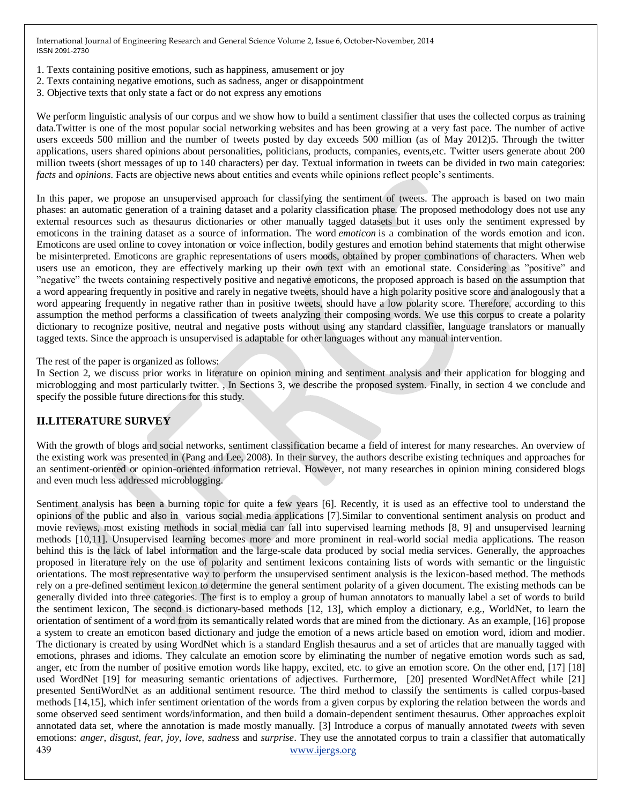- 1. Texts containing positive emotions, such as happiness, amusement or joy
- 2. Texts containing negative emotions, such as sadness, anger or disappointment
- 3. Objective texts that only state a fact or do not express any emotions

We perform linguistic analysis of our corpus and we show how to build a sentiment classifier that uses the collected corpus as training data.Twitter is one of the most popular social networking websites and has been growing at a very fast pace. The number of active users exceeds 500 million and the number of tweets posted by day exceeds 500 million (as of May 2012)5. Through the twitter applications, users shared opinions about personalities, politicians, products, companies, events,etc. Twitter users generate about 200 million tweets (short messages of up to 140 characters) per day. Textual information in tweets can be divided in two main categories: *facts* and *opinions*. Facts are objective news about entities and events while opinions reflect people's sentiments.

In this paper, we propose an unsupervised approach for classifying the sentiment of tweets. The approach is based on two main phases: an automatic generation of a training dataset and a polarity classification phase. The proposed methodology does not use any external resources such as thesaurus dictionaries or other manually tagged datasets but it uses only the sentiment expressed by emoticons in the training dataset as a source of information. The word *emoticon* is a combination of the words emotion and icon. Emoticons are used online to covey intonation or voice inflection, bodily gestures and emotion behind statements that might otherwise be misinterpreted. Emoticons are graphic representations of users moods, obtained by proper combinations of characters. When web users use an emoticon, they are effectively marking up their own text with an emotional state. Considering as "positive" and ‖negative‖ the tweets containing respectively positive and negative emoticons, the proposed approach is based on the assumption that a word appearing frequently in positive and rarely in negative tweets, should have a high polarity positive score and analogously that a word appearing frequently in negative rather than in positive tweets, should have a low polarity score. Therefore, according to this assumption the method performs a classification of tweets analyzing their composing words. We use this corpus to create a polarity dictionary to recognize positive, neutral and negative posts without using any standard classifier, language translators or manually tagged texts. Since the approach is unsupervised is adaptable for other languages without any manual intervention.

The rest of the paper is organized as follows:

In Section 2, we discuss prior works in literature on opinion mining and sentiment analysis and their application for blogging and microblogging and most particularly twitter. , In Sections 3, we describe the proposed system. Finally, in section 4 we conclude and specify the possible future directions for this study.

## **II.LITERATURE SURVEY**

With the growth of blogs and social networks, sentiment classification became a field of interest for many researches. An overview of the existing work was presented in (Pang and Lee, 2008). In their survey, the authors describe existing techniques and approaches for an sentiment-oriented or opinion-oriented information retrieval. However, not many researches in opinion mining considered blogs and even much less addressed microblogging.

439 [www.ijergs.org](http://www.ijergs.org/) Sentiment analysis has been a burning topic for quite a few years [6]. Recently, it is used as an effective tool to understand the opinions of the public and also in various social media applications [7].Similar to conventional sentiment analysis on product and movie reviews, most existing methods in social media can fall into supervised learning methods [8, 9] and unsupervised learning methods [10,11]. Unsupervised learning becomes more and more prominent in real-world social media applications. The reason behind this is the lack of label information and the large-scale data produced by social media services. Generally, the approaches proposed in literature rely on the use of polarity and sentiment lexicons containing lists of words with semantic or the linguistic orientations. The most representative way to perform the unsupervised sentiment analysis is the lexicon-based method. The methods rely on a pre-defined sentiment lexicon to determine the general sentiment polarity of a given document. The existing methods can be generally divided into three categories. The first is to employ a group of human annotators to manually label a set of words to build the sentiment lexicon, The second is dictionary-based methods [12, 13], which employ a dictionary, e.g., WorldNet, to learn the orientation of sentiment of a word from its semantically related words that are mined from the dictionary. As an example, [16] propose a system to create an emoticon based dictionary and judge the emotion of a news article based on emotion word, idiom and modier. The dictionary is created by using WordNet which is a standard English thesaurus and a set of articles that are manually tagged with emotions, phrases and idioms. They calculate an emotion score by eliminating the number of negative emotion words such as sad, anger, etc from the number of positive emotion words like happy, excited, etc. to give an emotion score. On the other end, [17] [18] used WordNet [19] for measuring semantic orientations of adjectives. Furthermore, [20] presented WordNetAffect while [21] presented SentiWordNet as an additional sentiment resource. The third method to classify the sentiments is called corpus-based methods [14,15], which infer sentiment orientation of the words from a given corpus by exploring the relation between the words and some observed seed sentiment words/information, and then build a domain-dependent sentiment thesaurus. Other approaches exploit annotated data set, where the annotation is made mostly manually. [3] Introduce a corpus of manually annotated *tweets* with seven emotions: *anger*, *disgust*, *fear*, *joy*, *love*, *sadness* and *surprise*. They use the annotated corpus to train a classifier that automatically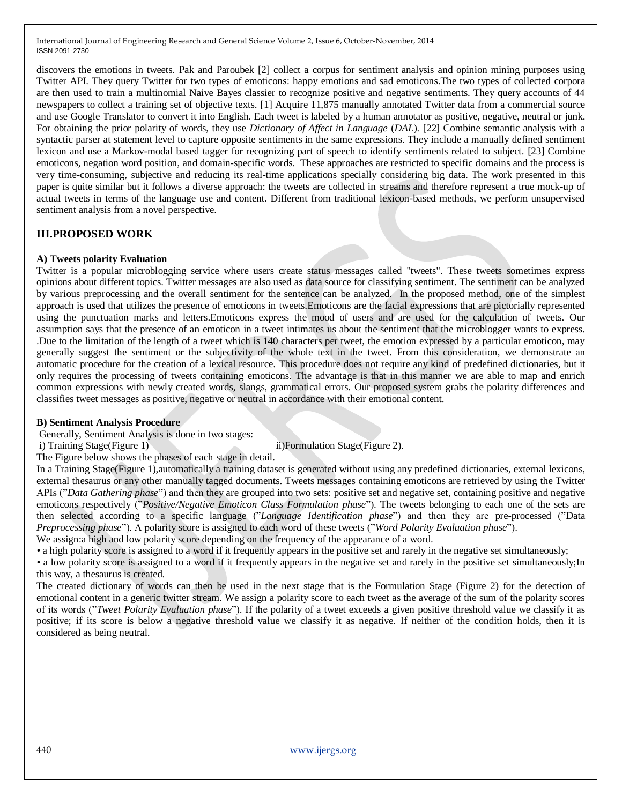discovers the emotions in tweets. Pak and Paroubek [2] collect a corpus for sentiment analysis and opinion mining purposes using Twitter API. They query Twitter for two types of emoticons: happy emotions and sad emoticons.The two types of collected corpora are then used to train a multinomial Naive Bayes classier to recognize positive and negative sentiments. They query accounts of 44 newspapers to collect a training set of objective texts. [1] Acquire 11,875 manually annotated Twitter data from a commercial source and use Google Translator to convert it into English. Each tweet is labeled by a human annotator as positive, negative, neutral or junk. For obtaining the prior polarity of words, they use *Dictionary of Affect in Language* (*DAL*). [22] Combine semantic analysis with a syntactic parser at statement level to capture opposite sentiments in the same expressions. They include a manually defined sentiment lexicon and use a Markov-modal based tagger for recognizing part of speech to identify sentiments related to subject. [23] Combine emoticons, negation word position, and domain-specific words. These approaches are restricted to specific domains and the process is very time-consuming, subjective and reducing its real-time applications specially considering big data. The work presented in this paper is quite similar but it follows a diverse approach: the tweets are collected in streams and therefore represent a true mock-up of actual tweets in terms of the language use and content. Different from traditional lexicon-based methods, we perform unsupervised sentiment analysis from a novel perspective.

## **III.PROPOSED WORK**

#### **A) Tweets polarity Evaluation**

Twitter is a popular microblogging service where users create status messages called "tweets". These tweets sometimes express opinions about different topics. Twitter messages are also used as data source for classifying sentiment. The sentiment can be analyzed by various preprocessing and the overall sentiment for the sentence can be analyzed. In the proposed method, one of the simplest approach is used that utilizes the presence of emoticons in tweets.Emoticons are the facial expressions that are pictorially represented using the punctuation marks and letters.Emoticons express the mood of users and are used for the calculation of tweets. Our assumption says that the presence of an emoticon in a tweet intimates us about the sentiment that the microblogger wants to express. .Due to the limitation of the length of a tweet which is 140 characters per tweet, the emotion expressed by a particular emoticon, may generally suggest the sentiment or the subjectivity of the whole text in the tweet. From this consideration, we demonstrate an automatic procedure for the creation of a lexical resource. This procedure does not require any kind of predefined dictionaries, but it only requires the processing of tweets containing emoticons. The advantage is that in this manner we are able to map and enrich common expressions with newly created words, slangs, grammatical errors. Our proposed system grabs the polarity differences and classifies tweet messages as positive, negative or neutral in accordance with their emotional content.

#### **B) Sentiment Analysis Procedure**

Generally, Sentiment Analysis is done in two stages:

i) Training Stage(Figure 1) iii)Formulation Stage(Figure 2).

The Figure below shows the phases of each stage in detail.

In a Training Stage(Figure 1),automatically a training dataset is generated without using any predefined dictionaries, external lexicons, external thesaurus or any other manually tagged documents. Tweets messages containing emoticons are retrieved by using the Twitter APIs ("*Data Gathering phase*") and then they are grouped into two sets: positive set and negative set, containing positive and negative emoticons respectively ("*Positive/Negative Emoticon Class Formulation phase*"). The tweets belonging to each one of the sets are then selected according to a specific language ("*Language Identification phase*") and then they are pre-processed ("Data *Preprocessing phase*"). A polarity score is assigned to each word of these tweets ("Word Polarity Evaluation phase").

We assign:a high and low polarity score depending on the frequency of the appearance of a word.

• a high polarity score is assigned to a word if it frequently appears in the positive set and rarely in the negative set simultaneously; • a low polarity score is assigned to a word if it frequently appears in the negative set and rarely in the positive set simultaneously;In this way, a thesaurus is created.

The created dictionary of words can then be used in the next stage that is the Formulation Stage (Figure 2) for the detection of emotional content in a generic twitter stream. We assign a polarity score to each tweet as the average of the sum of the polarity scores of its words (‖*Tweet Polarity Evaluation phase*‖). If the polarity of a tweet exceeds a given positive threshold value we classify it as positive; if its score is below a negative threshold value we classify it as negative. If neither of the condition holds, then it is considered as being neutral.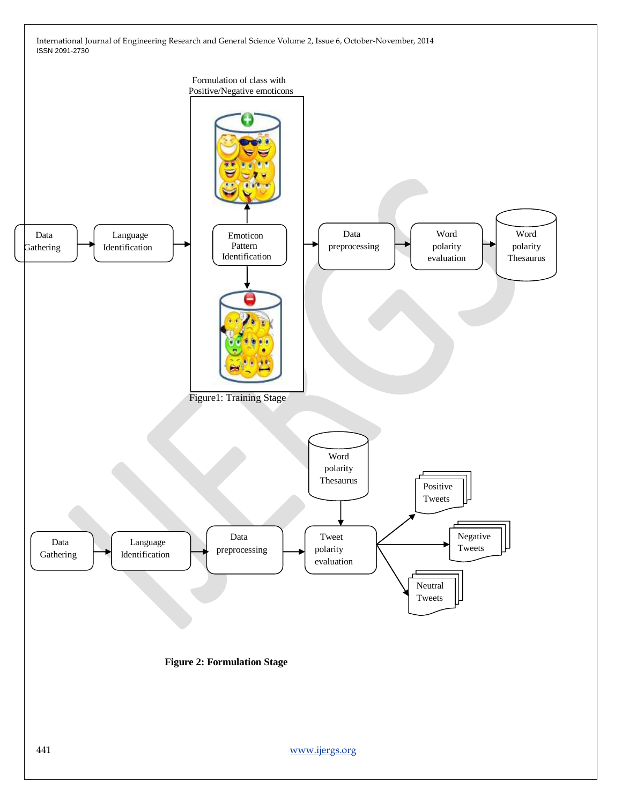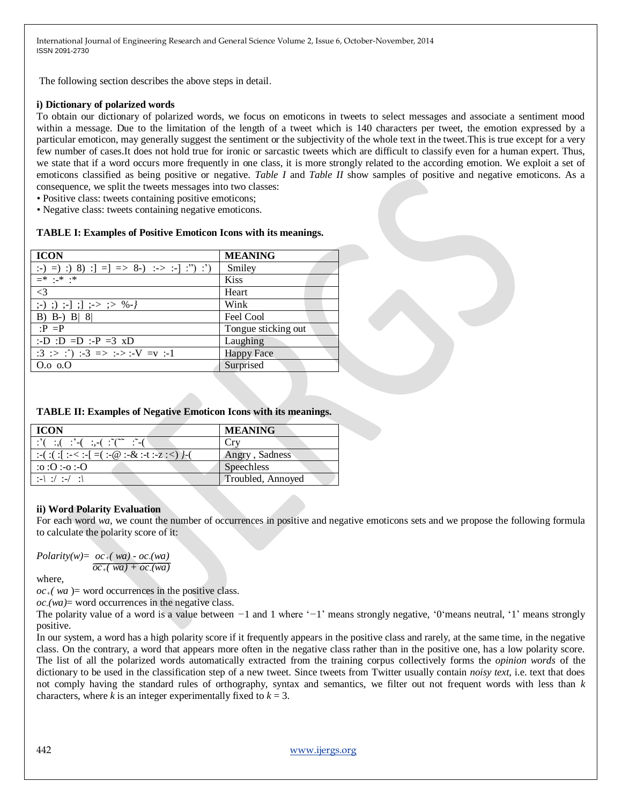The following section describes the above steps in detail.

#### **i) Dictionary of polarized words**

To obtain our dictionary of polarized words, we focus on emoticons in tweets to select messages and associate a sentiment mood within a message. Due to the limitation of the length of a tweet which is 140 characters per tweet, the emotion expressed by a particular emoticon, may generally suggest the sentiment or the subjectivity of the whole text in the tweet.This is true except for a very few number of cases.It does not hold true for ironic or sarcastic tweets which are difficult to classify even for a human expert. Thus, we state that if a word occurs more frequently in one class, it is more strongly related to the according emotion. We exploit a set of emoticons classified as being positive or negative. *Table I* and *Table II* show samples of positive and negative emoticons. As a consequence, we split the tweets messages into two classes:

• Positive class: tweets containing positive emoticons;

• Negative class: tweets containing negative emoticons.

#### **TABLE I: Examples of Positive Emoticon Icons with its meanings.**

| <b>ICON</b>                               | <b>MEANING</b>      |
|-------------------------------------------|---------------------|
| :-) =) :) 8) :] =] => 8-) :-> :-] :") :') | Smiley              |
| $\equiv^*$ : * :*                         | <b>Kiss</b>         |
| $\leq$ 3                                  | Heart               |
| $\,$ ;-) ;) ;-] ;] ;-> ;> %-/             | Wink                |
| B) B-) B/ $8/$                            | Feel Cool           |
| $\cdot P = P$                             | Tongue sticking out |
| :-D :D =D :-P =3 $xD$                     | Laughing            |
| $:3$ :> :^) :-3 => :->:-V =v :-1          | <b>Happy Face</b>   |
| $0.0\,0.0$                                | Surprised           |

#### **TABLE II: Examples of Negative Emoticon Icons with its meanings.**

| <b>ICON</b>                                                                                                                                                                                                                                                                                                                                                                                                                                                                                      | <b>MEANING</b>    |
|--------------------------------------------------------------------------------------------------------------------------------------------------------------------------------------------------------------------------------------------------------------------------------------------------------------------------------------------------------------------------------------------------------------------------------------------------------------------------------------------------|-------------------|
| $\therefore$ $\therefore$ $\therefore$ $\therefore$ $\therefore$ $\therefore$ $\therefore$ $\therefore$ $\therefore$ $\therefore$ $\therefore$ $\therefore$ $\therefore$ $\therefore$ $\therefore$ $\therefore$ $\therefore$ $\therefore$ $\therefore$ $\therefore$ $\therefore$ $\therefore$ $\therefore$ $\therefore$ $\therefore$ $\therefore$ $\therefore$ $\therefore$ $\therefore$ $\therefore$ $\therefore$ $\therefore$ $\therefore$ $\therefore$ $\therefore$ $\therefore$ $\therefore$ | Crv               |
| :-(:(:[:-<:-[=(:-@:-&:-t:-z:<)}-(                                                                                                                                                                                                                                                                                                                                                                                                                                                                | Angry, Sadness    |
| O: 0: 0: 0:                                                                                                                                                                                                                                                                                                                                                                                                                                                                                      | Speechless        |
| $: - \; \cdot \; \cdot \; \cdot \; \cdot \; \cdot \; \cdot$                                                                                                                                                                                                                                                                                                                                                                                                                                      | Troubled, Annoyed |

#### **ii) Word Polarity Evaluation**

For each word *wa*, we count the number of occurrences in positive and negative emoticons sets and we propose the following formula to calculate the polarity score of it:

*Polarity*( $w$ ) =  $oc$ <sub>+</sub> $(wa)$  -  $oc$ <sub>-</sub> $(wa)$  $\overline{oc_{+}(wa) + oc_{-}(wa)}$ 

where,

 $oc<sub>+</sub>(wa)$  = word occurrences in the positive class.

 $oc$ <sup> $\alpha$ </sup> $=$  word occurrences in the negative class.

The polarity value of a word is a value between  $-1$  and 1 where  $\langle -1 \rangle$  means strongly negative,  $\langle 0 \rangle$  means neutral,  $\langle 1 \rangle$  means strongly positive.

In our system, a word has a high polarity score if it frequently appears in the positive class and rarely, at the same time, in the negative class. On the contrary, a word that appears more often in the negative class rather than in the positive one, has a low polarity score. The list of all the polarized words automatically extracted from the training corpus collectively forms the *opinion words* of the dictionary to be used in the classification step of a new tweet. Since tweets from Twitter usually contain *noisy text*, i.e. text that does not comply having the standard rules of orthography, syntax and semantics, we filter out not frequent words with less than *k*  characters, where *k* is an integer experimentally fixed to  $k = 3$ .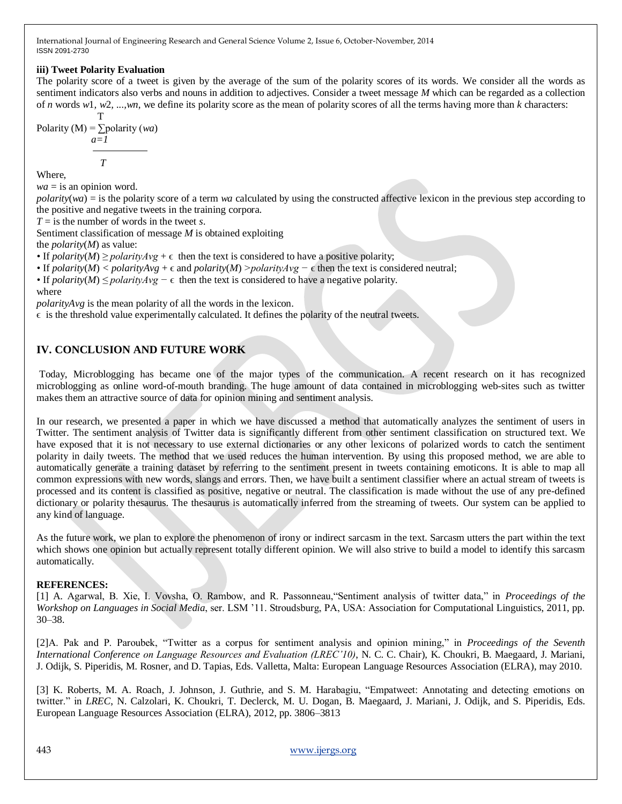## **iii) Tweet Polarity Evaluation**

The polarity score of a tweet is given by the average of the sum of the polarity scores of its words. We consider all the words as sentiment indicators also verbs and nouns in addition to adjectives. Consider a tweet message *M* which can be regarded as a collection of *n* words *w*1*, w*2*, ...,wn*, we define its polarity score as the mean of polarity scores of all the terms having more than *k* characters:

$$
Polarity (M) = \sum_{a=1}^{T} polarity (wa)
$$
\n
$$
T
$$

Where,

 $wa =$  is an opinion word.

*polarity*(*wa*) = is the polarity score of a term *wa* calculated by using the constructed affective lexicon in the previous step according to the positive and negative tweets in the training corpora.

*T* = is the number of words in the tweet *s*.

Sentiment classification of message *M* is obtained exploiting

the *polarity*(*M*) as value:

• If *polarity*(*M*)  $\geq$  *polarityAvg* +  $\epsilon$  then the text is considered to have a positive polarity;

• If *polarity*(*M*)  $\lt$  *polarityAvg* +  $\epsilon$  and *polarity*(*M*) > *polarityAvg* −  $\epsilon$  then the text is considered neutral;

*•* If *polarity*(*M*) *≤ polarityAvg* –  $\epsilon$  then the text is considered to have a negative polarity.

where

*polarityAvg* is the mean polarity of all the words in the lexicon.

 $\epsilon$  is the threshold value experimentally calculated. It defines the polarity of the neutral tweets.

## **IV. CONCLUSION AND FUTURE WORK**

Today, Microblogging has became one of the major types of the communication. A recent research on it has recognized microblogging as online word-of-mouth branding. The huge amount of data contained in microblogging web-sites such as twitter makes them an attractive source of data for opinion mining and sentiment analysis.

In our research, we presented a paper in which we have discussed a method that automatically analyzes the sentiment of users in Twitter. The sentiment analysis of Twitter data is significantly different from other sentiment classification on structured text. We have exposed that it is not necessary to use external dictionaries or any other lexicons of polarized words to catch the sentiment polarity in daily tweets. The method that we used reduces the human intervention. By using this proposed method, we are able to automatically generate a training dataset by referring to the sentiment present in tweets containing emoticons. It is able to map all common expressions with new words, slangs and errors. Then, we have built a sentiment classifier where an actual stream of tweets is processed and its content is classified as positive, negative or neutral. The classification is made without the use of any pre-defined dictionary or polarity thesaurus. The thesaurus is automatically inferred from the streaming of tweets. Our system can be applied to any kind of language.

As the future work, we plan to explore the phenomenon of irony or indirect sarcasm in the text. Sarcasm utters the part within the text which shows one opinion but actually represent totally different opinion. We will also strive to build a model to identify this sarcasm automatically.

## **REFERENCES:**

[1] A. Agarwal, B. Xie, I. Vovsha, O. Rambow, and R. Passonneau, "Sentiment analysis of twitter data," in *Proceedings of the Workshop on Languages in Social Media*, ser. LSM '11. Stroudsburg, PA, USA: Association for Computational Linguistics, 2011, pp. 30–38.

[2]A. Pak and P. Paroubek, "Twitter as a corpus for sentiment analysis and opinion mining," in *Proceedings of the Seventh International Conference on Language Resources and Evaluation (LREC'10)*, N. C. C. Chair), K. Choukri, B. Maegaard, J. Mariani, J. Odijk, S. Piperidis, M. Rosner, and D. Tapias, Eds. Valletta, Malta: European Language Resources Association (ELRA), may 2010.

[3] K. Roberts, M. A. Roach, J. Johnson, J. Guthrie, and S. M. Harabagiu, "Empatweet: Annotating and detecting emotions on twitter." in *LREC*, N. Calzolari, K. Choukri, T. Declerck, M. U. Dogan, B. Maegaard, J. Mariani, J. Odijk, and S. Piperidis, Eds. European Language Resources Association (ELRA), 2012, pp. 3806–3813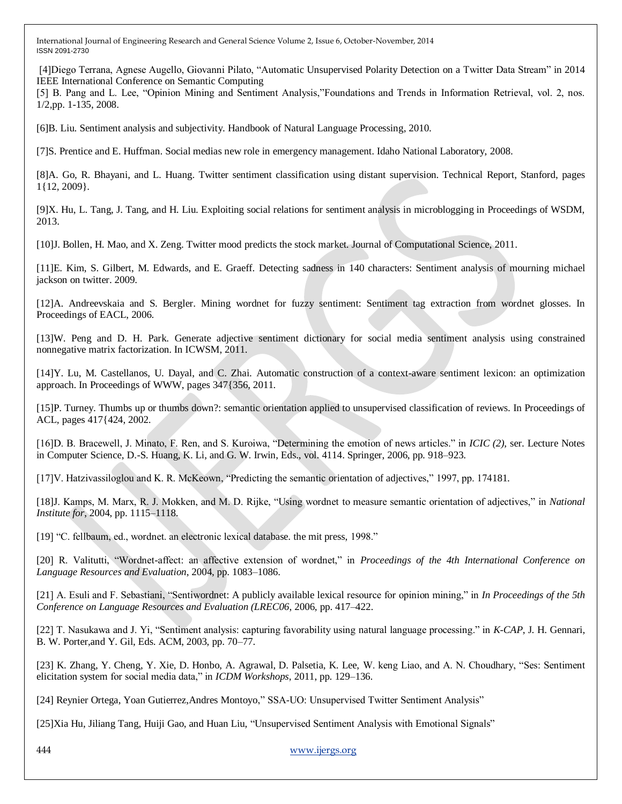[4]Diego Terrana, Agnese Augello, Giovanni Pilato, "Automatic Unsupervised Polarity Detection on a Twitter Data Stream" in 2014 IEEE International Conference on Semantic Computing

[5] B. Pang and L. Lee, "Opinion Mining and Sentiment Analysis,"Foundations and Trends in Information Retrieval, vol. 2, nos. 1/2,pp. 1-135, 2008.

[6]B. Liu. Sentiment analysis and subjectivity. Handbook of Natural Language Processing, 2010.

[7]S. Prentice and E. Huffman. Social medias new role in emergency management. Idaho National Laboratory, 2008.

[8]A. Go, R. Bhayani, and L. Huang. Twitter sentiment classification using distant supervision. Technical Report, Stanford, pages 1{12, 2009}.

[9]X. Hu, L. Tang, J. Tang, and H. Liu. Exploiting social relations for sentiment analysis in microblogging in Proceedings of WSDM, 2013.

[10]J. Bollen, H. Mao, and X. Zeng. Twitter mood predicts the stock market. Journal of Computational Science, 2011.

[11]E. Kim, S. Gilbert, M. Edwards, and E. Graeff. Detecting sadness in 140 characters: Sentiment analysis of mourning michael jackson on twitter. 2009.

[12]A. Andreevskaia and S. Bergler. Mining wordnet for fuzzy sentiment: Sentiment tag extraction from wordnet glosses. In Proceedings of EACL, 2006.

[13]W. Peng and D. H. Park. Generate adjective sentiment dictionary for social media sentiment analysis using constrained nonnegative matrix factorization. In ICWSM, 2011.

[14]Y. Lu, M. Castellanos, U. Dayal, and C. Zhai. Automatic construction of a context-aware sentiment lexicon: an optimization approach. In Proceedings of WWW, pages 347{356, 2011.

[15]P. Turney. Thumbs up or thumbs down?: semantic orientation applied to unsupervised classification of reviews. In Proceedings of ACL, pages 417{424, 2002.

[16]D. B. Bracewell, J. Minato, F. Ren, and S. Kuroiwa, "Determining the emotion of news articles." in *ICIC (2)*, ser. Lecture Notes in Computer Science, D.-S. Huang, K. Li, and G. W. Irwin, Eds., vol. 4114. Springer, 2006, pp. 918–923.

[17]V. Hatzivassiloglou and K. R. McKeown, "Predicting the semantic orientation of adjectives," 1997, pp. 174181.

[18]J. Kamps, M. Marx, R. J. Mokken, and M. D. Rijke, "Using wordnet to measure semantic orientation of adjectives," in *National Institute for*, 2004, pp. 1115–1118.

[19] "C. fellbaum, ed., wordnet. an electronic lexical database. the mit press, 1998."

[20] R. Valitutti, "Wordnet-affect: an affective extension of wordnet," in *Proceedings of the 4th International Conference on Language Resources and Evaluation*, 2004, pp. 1083–1086.

[21] A. Esuli and F. Sebastiani, "Sentiwordnet: A publicly available lexical resource for opinion mining," in *In Proceedings of the 5th Conference on Language Resources and Evaluation (LREC06*, 2006, pp. 417–422.

[22] T. Nasukawa and J. Yi, "Sentiment analysis: capturing favorability using natural language processing." in *K-CAP*, J. H. Gennari, B. W. Porter,and Y. Gil, Eds. ACM, 2003, pp. 70–77.

[23] K. Zhang, Y. Cheng, Y. Xie, D. Honbo, A. Agrawal, D. Palsetia, K. Lee, W. keng Liao, and A. N. Choudhary, "Ses: Sentiment elicitation system for social media data," in *ICDM Workshops*, 2011, pp. 129–136.

[24] Reynier Ortega, Yoan Gutierrez, Andres Montoyo," SSA-UO: Unsupervised Twitter Sentiment Analysis"

[25]Xia Hu, Jiliang Tang, Huiji Gao, and Huan Liu, "Unsupervised Sentiment Analysis with Emotional Signals"

444 [www.ijergs.org](http://www.ijergs.org/)